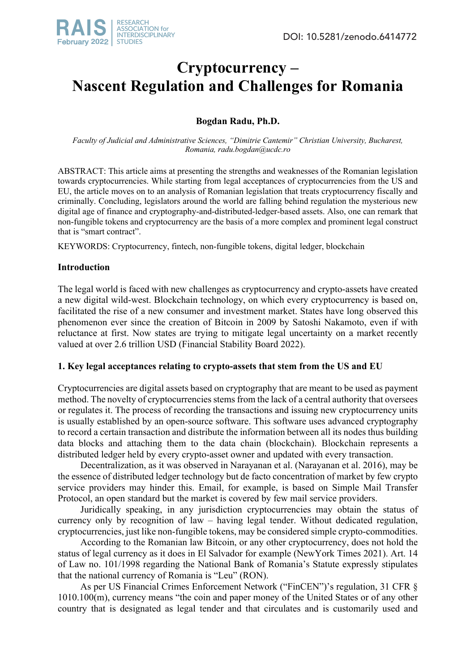

# **Cryptocurrency – Nascent Regulation and Challenges for Romania**

# **Bogdan Radu, Ph.D.**

*Faculty of Judicial and Administrative Sciences, "Dimitrie Cantemir" Christian University, Bucharest, Romania, radu.bogdan@ucdc.ro*

ABSTRACT: This article aims at presenting the strengths and weaknesses of the Romanian legislation towards cryptocurrencies. While starting from legal acceptances of cryptocurrencies from the US and EU, the article moves on to an analysis of Romanian legislation that treats cryptocurrency fiscally and criminally. Concluding, legislators around the world are falling behind regulation the mysterious new digital age of finance and cryptography-and-distributed-ledger-based assets. Also, one can remark that non-fungible tokens and cryptocurrency are the basis of a more complex and prominent legal construct that is "smart contract".

KEYWORDS: Cryptocurrency, fintech, non-fungible tokens, digital ledger, blockchain

## **Introduction**

The legal world is faced with new challenges as cryptocurrency and crypto-assets have created a new digital wild-west. Blockchain technology, on which every cryptocurrency is based on, facilitated the rise of a new consumer and investment market. States have long observed this phenomenon ever since the creation of Bitcoin in 2009 by Satoshi Nakamoto, even if with reluctance at first. Now states are trying to mitigate legal uncertainty on a market recently valued at over 2.6 trillion USD (Financial Stability Board 2022).

## **1. Key legal acceptances relating to crypto-assets that stem from the US and EU**

Cryptocurrencies are digital assets based on cryptography that are meant to be used as payment method. The novelty of cryptocurrencies stems from the lack of a central authority that oversees or regulates it. The process of recording the transactions and issuing new cryptocurrency units is usually established by an open-source software. This software uses advanced cryptography to record a certain transaction and distribute the information between all its nodes thus building data blocks and attaching them to the data chain (blockchain). Blockchain represents a distributed ledger held by every crypto-asset owner and updated with every transaction.

Decentralization, as it was observed in Narayanan et al. (Narayanan et al. 2016), may be the essence of distributed ledger technology but de facto concentration of market by few crypto service providers may hinder this. Email, for example, is based on Simple Mail Transfer Protocol, an open standard but the market is covered by few mail service providers.

Juridically speaking, in any jurisdiction cryptocurrencies may obtain the status of currency only by recognition of law – having legal tender. Without dedicated regulation, cryptocurrencies, just like non-fungible tokens, may be considered simple crypto-commodities.

According to the Romanian law Bitcoin, or any other cryptocurrency, does not hold the status of legal currency as it does in El Salvador for example (NewYork Times 2021). Art. 14 of Law no. 101/1998 regarding the National Bank of Romania's Statute expressly stipulates that the national currency of Romania is "Leu" (RON).

As per US Financial Crimes Enforcement Network ("FinCEN")'s regulation, 31 CFR § 1010.100(m), currency means "the coin and paper money of the United States or of any other country that is designated as legal tender and that circulates and is customarily used and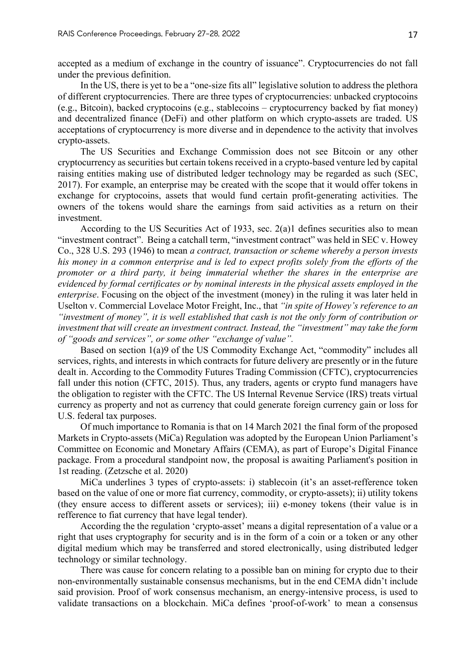accepted as a medium of exchange in the country of issuance". Cryptocurrencies do not fall under the previous definition.

In the US, there is yet to be a "one-size fits all" legislative solution to address the plethora of different cryptocurrencies. There are three types of cryptocurrencies: unbacked cryptocoins (e.g., Bitcoin), backed cryptocoins (e.g., stablecoins – cryptocurrency backed by fiat money) and decentralized finance (DeFi) and other platform on which crypto-assets are traded. US acceptations of cryptocurrency is more diverse and in dependence to the activity that involves crypto-assets.

The US Securities and Exchange Commission does not see Bitcoin or any other cryptocurrency as securities but certain tokens received in a crypto-based venture led by capital raising entities making use of distributed ledger technology may be regarded as such (SEC, 2017). For example, an enterprise may be created with the scope that it would offer tokens in exchange for cryptocoins, assets that would fund certain profit-generating activities. The owners of the tokens would share the earnings from said activities as a return on their investment.

According to the US Securities Act of 1933, sec. 2(a)1 defines securities also to mean "investment contract". Being a catchall term, "investment contract" was held in SEC v. Howey Co., 328 U.S. 293 (1946) to mean *a contract, transaction or scheme whereby a person invests his money in a common enterprise and is led to expect profits solely from the efforts of the promoter or a third party, it being immaterial whether the shares in the enterprise are evidenced by formal certificates or by nominal interests in the physical assets employed in the enterprise*. Focusing on the object of the investment (money) in the ruling it was later held in Uselton v. Commercial Lovelace Motor Freight, Inc., that *"in spite of Howey's reference to an "investment of money", it is well established that cash is not the only form of contribution or investment that will create an investment contract. Instead, the "investment" may take the form of "goods and services", or some other "exchange of value".*

Based on section 1(a)9 of the US Commodity Exchange Act, "commodity" includes all services, rights, and interests in which contracts for future delivery are presently or in the future dealt in. According to the Commodity Futures Trading Commission (CFTC), cryptocurrencies fall under this notion (CFTC, 2015). Thus, any traders, agents or crypto fund managers have the obligation to register with the CFTC. The US Internal Revenue Service (IRS) treats virtual currency as property and not as currency that could generate foreign currency gain or loss for U.S. federal tax purposes.

Of much importance to Romania is that on 14 March 2021 the final form of the proposed Markets in Crypto-assets (MiCa) Regulation was adopted by the European Union Parliament's Committee on Economic and Monetary Affairs (CEMA), as part of Europe's Digital Finance package. From a procedural standpoint now, the proposal is awaiting Parliament's position in 1st reading. (Zetzsche et al. 2020)

MiCa underlines 3 types of crypto-assets: i) stablecoin (it's an asset-refference token based on the value of one or more fiat currency, commodity, or crypto-assets); ii) utility tokens (they ensure access to different assets or services); iii) e-money tokens (their value is in refference to fiat currency that have legal tender).

According the the regulation 'crypto-asset' means a digital representation of a value or a right that uses cryptography for security and is in the form of a coin or a token or any other digital medium which may be transferred and stored electronically, using distributed ledger technology or similar technology.

There was cause for concern relating to a possible ban on mining for crypto due to their non-environmentally sustainable consensus mechanisms, but in the end CEMA didn't include said provision. Proof of work consensus mechanism, an energy-intensive process, is used to validate transactions on a blockchain. MiCa defines 'proof-of-work' to mean a consensus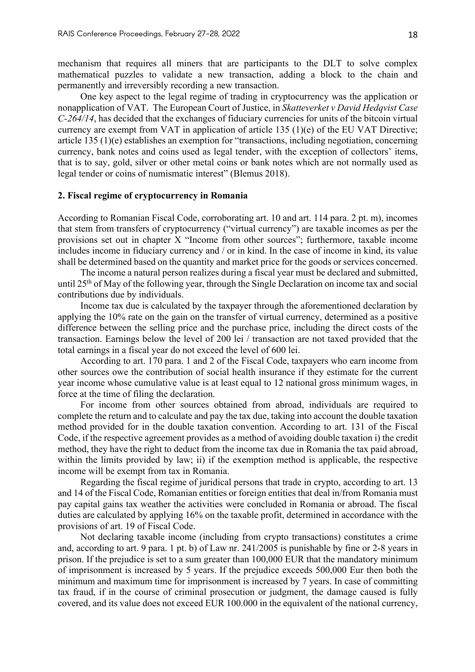mechanism that requires all miners that are participants to the DLT to solve complex mathematical puzzles to validate a new transaction, adding a block to the chain and permanently and irreversibly recording a new transaction.

One key aspect to the legal regime of trading in cryptocurrency was the application or nonapplication of VAT. The European Court of Justice, in *Skatteverket v David Hedqvist Case C-264/14*, has decided that the exchanges of fiduciary currencies for units of the bitcoin virtual currency are exempt from VAT in application of article 135 (1)(e) of the EU VAT Directive; article 135 (1)(e) establishes an exemption for "transactions, including negotiation, concerning currency, bank notes and coins used as legal tender, with the exception of collectors' items, that is to say, gold, silver or other metal coins or bank notes which are not normally used as legal tender or coins of numismatic interest" (Blemus 2018).

#### **2. Fiscal regime of cryptocurrency in Romania**

According to Romanian Fiscal Code, corroborating art. 10 and art. 114 para. 2 pt. m), incomes that stem from transfers of cryptocurrency ("virtual currency") are taxable incomes as per the provisions set out in chapter X "Income from other sources"; furthermore, taxable income includes income in fiduciary currency and / or in kind. In the case of income in kind, its value shall be determined based on the quantity and market price for the goods or services concerned.

The income a natural person realizes during a fiscal year must be declared and submitted, until 25<sup>th</sup> of May of the following year, through the Single Declaration on income tax and social contributions due by individuals.

Income tax due is calculated by the taxpayer through the aforementioned declaration by applying the 10% rate on the gain on the transfer of virtual currency, determined as a positive difference between the selling price and the purchase price, including the direct costs of the transaction. Earnings below the level of 200 lei / transaction are not taxed provided that the total earnings in a fiscal year do not exceed the level of 600 lei.

According to art. 170 para. 1 and 2 of the Fiscal Code, taxpayers who earn income from other sources owe the contribution of social health insurance if they estimate for the current year income whose cumulative value is at least equal to 12 national gross minimum wages, in force at the time of filing the declaration.

For income from other sources obtained from abroad, individuals are required to complete the return and to calculate and pay the tax due, taking into account the double taxation method provided for in the double taxation convention. According to art. 131 of the Fiscal Code, if the respective agreement provides as a method of avoiding double taxation i) the credit method, they have the right to deduct from the income tax due in Romania the tax paid abroad, within the limits provided by law; ii) if the exemption method is applicable, the respective income will be exempt from tax in Romania.

Regarding the fiscal regime of juridical persons that trade in crypto, according to art. 13 and 14 of the Fiscal Code, Romanian entities or foreign entities that deal in/from Romania must pay capital gains tax weather the activities were concluded in Romania or abroad. The fiscal duties are calculated by applying 16% on the taxable profit, determined in accordance with the provisions of art. 19 of Fiscal Code.

Not declaring taxable income (including from crypto transactions) constitutes a crime and, according to art. 9 para. 1 pt. b) of Law nr. 241/2005 is punishable by fine or 2-8 years in prison. If the prejudice is set to a sum greater than 100,000 EUR that the mandatory minimum of imprisonment is increased by 5 years. If the prejudice exceeds 500,000 Eur then both the minimum and maximum time for imprisonment is increased by 7 years. In case of committing tax fraud, if in the course of criminal prosecution or judgment, the damage caused is fully covered, and its value does not exceed EUR 100.000 in the equivalent of the national currency,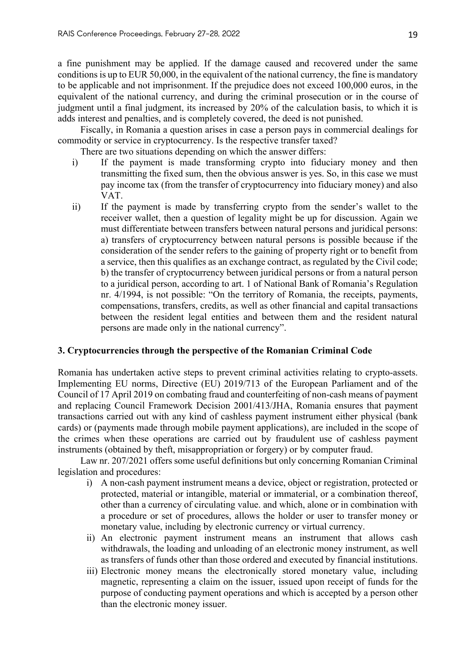a fine punishment may be applied. If the damage caused and recovered under the same conditions is up to EUR 50,000, in the equivalent of the national currency, the fine is mandatory to be applicable and not imprisonment. If the prejudice does not exceed 100,000 euros, in the equivalent of the national currency, and during the criminal prosecution or in the course of judgment until a final judgment, its increased by 20% of the calculation basis, to which it is adds interest and penalties, and is completely covered, the deed is not punished.

Fiscally, in Romania a question arises in case a person pays in commercial dealings for commodity or service in cryptocurrency. Is the respective transfer taxed?

There are two situations depending on which the answer differs:

- i) If the payment is made transforming crypto into fiduciary money and then transmitting the fixed sum, then the obvious answer is yes. So, in this case we must pay income tax (from the transfer of cryptocurrency into fiduciary money) and also VAT.
- ii) If the payment is made by transferring crypto from the sender's wallet to the receiver wallet, then a question of legality might be up for discussion. Again we must differentiate between transfers between natural persons and juridical persons: a) transfers of cryptocurrency between natural persons is possible because if the consideration of the sender refers to the gaining of property right or to benefit from a service, then this qualifies as an exchange contract, as regulated by the Civil code; b) the transfer of cryptocurrency between juridical persons or from a natural person to a juridical person, according to art. 1 of National Bank of Romania's Regulation nr. 4/1994, is not possible: "On the territory of Romania, the receipts, payments, compensations, transfers, credits, as well as other financial and capital transactions between the resident legal entities and between them and the resident natural persons are made only in the national currency".

#### **3. Cryptocurrencies through the perspective of the Romanian Criminal Code**

Romania has undertaken active steps to prevent criminal activities relating to crypto-assets. Implementing EU norms, Directive (EU) 2019/713 of the European Parliament and of the Council of 17 April 2019 on combating fraud and counterfeiting of non-cash means of payment and replacing Council Framework Decision 2001/413/JHA, Romania ensures that payment transactions carried out with any kind of cashless payment instrument either physical (bank cards) or (payments made through mobile payment applications), are included in the scope of the crimes when these operations are carried out by fraudulent use of cashless payment instruments (obtained by theft, misappropriation or forgery) or by computer fraud.

Law nr. 207/2021 offers some useful definitions but only concerning Romanian Criminal legislation and procedures:

- i) A non-cash payment instrument means a device, object or registration, protected or protected, material or intangible, material or immaterial, or a combination thereof, other than a currency of circulating value. and which, alone or in combination with a procedure or set of procedures, allows the holder or user to transfer money or monetary value, including by electronic currency or virtual currency.
- ii) An electronic payment instrument means an instrument that allows cash withdrawals, the loading and unloading of an electronic money instrument, as well as transfers of funds other than those ordered and executed by financial institutions.
- iii) Electronic money means the electronically stored monetary value, including magnetic, representing a claim on the issuer, issued upon receipt of funds for the purpose of conducting payment operations and which is accepted by a person other than the electronic money issuer.